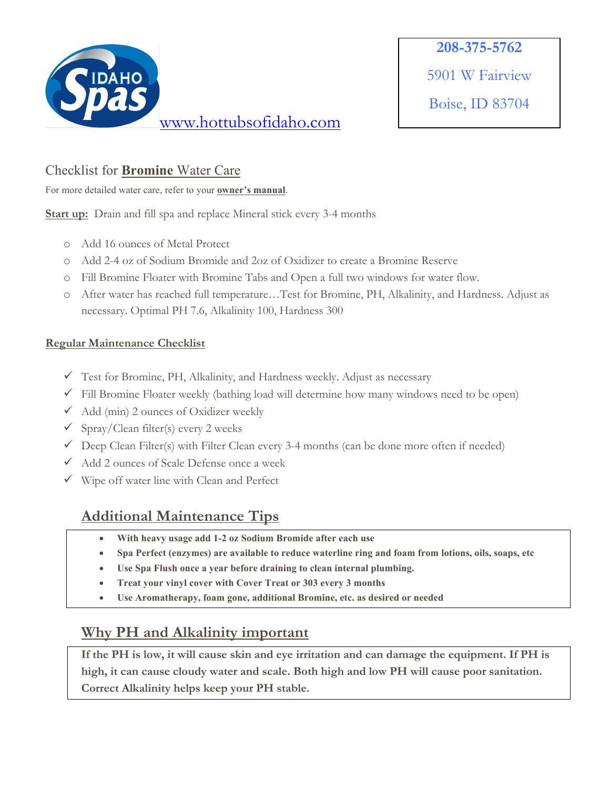

Boise, ID 83704

### Checklist for **Bromine** Water Care

For more detailed water care, refer to your **owner's manual**.

**Start up:** Drain and fill spa and replace Mineral stick every 3-4 months

- o Add 16 ounces of Metal Protect
- o Add 2-4 oz of Sodium Bromide and 2oz of Oxidizer to create a Bromine Reserve
- o Fill Bromine Floater with Bromine Tabs and Open a full two windows for water flow.
- o After water has reached full temperature…Test for Bromine, PH, Alkalinity, and Hardness. Adjust as necessary. Optimal PH 7.6, Alkalinity 100, Hardness 300

#### **Regular Maintenance Checklist**

- $\checkmark$  Test for Bromine, PH, Alkalinity, and Hardness weekly. Adjust as necessary
- $\checkmark$  Fill Bromine Floater weekly (bathing load will determine how many windows need to be open)
- $\checkmark$  Add (min) 2 ounces of Oxidizer weekly
- $\checkmark$  Spray/Clean filter(s) every 2 weeks
- $\checkmark$  Deep Clean Filter(s) with Filter Clean every 3-4 months (can be done more often if needed)
- $\checkmark$  Add 2 ounces of Scale Defense once a week
- $\checkmark$  Wipe off water line with Clean and Perfect

# **Additional Maintenance Tips**

- **With heavy usage add 1-2 oz Sodium Bromide after each use**
- **Spa Perfect (enzymes) are available to reduce waterline ring and foam from lotions, oils, soaps, etc**
- **Use Spa Flush once a year before draining to clean internal plumbing.**
- **Treat your vinyl cover with Cover Treat or 303 every 3 months**
- **Use Aromatherapy, foam gone, additional Bromine, etc. as desired or needed**

# **Why PH and Alkalinity important**

**If the PH is low, it will cause skin and eye irritation and can damage the equipment. If PH is high, it can cause cloudy water and scale. Both high and low PH will cause poor sanitation. Correct Alkalinity helps keep your PH stable.**